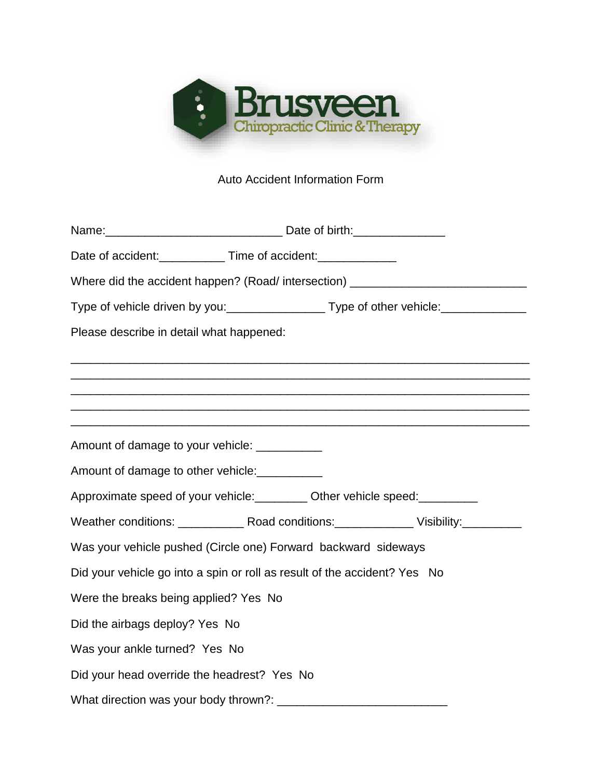

## Auto Accident Information Form

|                                               | Date of accident: _____________ Time of accident: _____________                         |
|-----------------------------------------------|-----------------------------------------------------------------------------------------|
|                                               | Where did the accident happen? (Road/intersection) _____________________________        |
|                                               | Type of vehicle driven by you:____________________Type of other vehicle:_______________ |
| Please describe in detail what happened:      |                                                                                         |
|                                               | ,我们也不能在这里的时候,我们也不能在这里的时候,我们也不能不能不能不能不能不能不能不能不能不能不能不能不能不能不能。""我们的是,我们也不能不能不能不能不能不        |
|                                               |                                                                                         |
|                                               | <u> 1989 - Johann Stoff, amerikansk politiker (d. 1989)</u>                             |
| Amount of damage to your vehicle: ___________ |                                                                                         |
| Amount of damage to other vehicle:            |                                                                                         |
|                                               | Approximate speed of your vehicle: __________ Other vehicle speed: ___________          |
|                                               |                                                                                         |
|                                               | Was your vehicle pushed (Circle one) Forward backward sideways                          |
|                                               | Did your vehicle go into a spin or roll as result of the accident? Yes No               |
| Were the breaks being applied? Yes No         |                                                                                         |
| Did the airbags deploy? Yes No                |                                                                                         |
| Was your ankle turned? Yes No                 |                                                                                         |
| Did your head override the headrest? Yes No   |                                                                                         |
|                                               |                                                                                         |